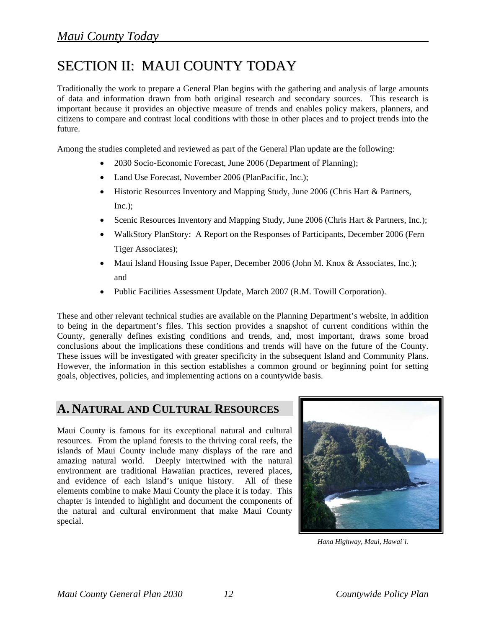# SECTION II: MAUI COUNTY TODAY

Traditionally the work to prepare a General Plan begins with the gathering and analysis of large amounts of data and information drawn from both original research and secondary sources. This research is important because it provides an objective measure of trends and enables policy makers, planners, and citizens to compare and contrast local conditions with those in other places and to project trends into the future.

Among the studies completed and reviewed as part of the General Plan update are the following:

- 2030 Socio-Economic Forecast, June 2006 (Department of Planning);
- Land Use Forecast, November 2006 (PlanPacific, Inc.);
- Historic Resources Inventory and Mapping Study, June 2006 (Chris Hart & Partners, Inc.);
- Scenic Resources Inventory and Mapping Study, June 2006 (Chris Hart & Partners, Inc.);
- WalkStory PlanStory: A Report on the Responses of Participants, December 2006 (Fern Tiger Associates);
- Maui Island Housing Issue Paper, December 2006 (John M. Knox & Associates, Inc.); and
- Public Facilities Assessment Update, March 2007 (R.M. Towill Corporation).

These and other relevant technical studies are available on the Planning Department's website, in addition to being in the department's files. This section provides a snapshot of current conditions within the County, generally defines existing conditions and trends, and, most important, draws some broad conclusions about the implications these conditions and trends will have on the future of the County. These issues will be investigated with greater specificity in the subsequent Island and Community Plans. However, the information in this section establishes a common ground or beginning point for setting goals, objectives, policies, and implementing actions on a countywide basis.

# **A. NATURAL AND CULTURAL RESOURCES**

Maui County is famous for its exceptional natural and cultural resources. From the upland forests to the thriving coral reefs, the islands of Maui County include many displays of the rare and amazing natural world. Deeply intertwined with the natural environment are traditional Hawaiian practices, revered places, and evidence of each island's unique history. All of these elements combine to make Maui County the place it is today. This chapter is intended to highlight and document the components of the natural and cultural environment that make Maui County special.



 *Hana Highway, Maui, Hawai`i.*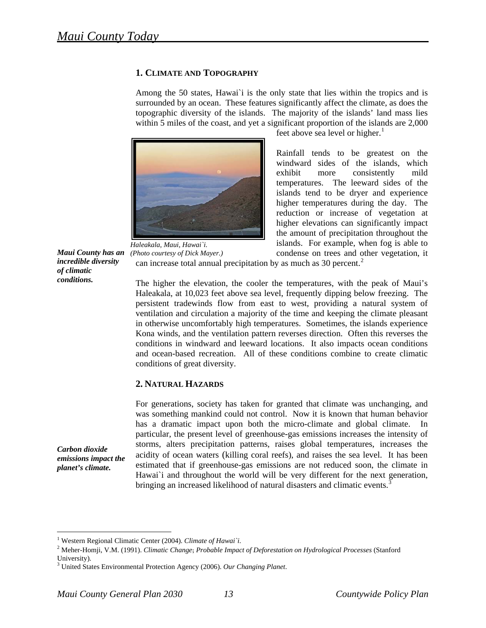# **1. CLIMATE AND TOPOGRAPHY**

Among the 50 states, Hawai`i is the only state that lies within the tropics and is surrounded by an ocean. These features significantly affect the climate, as does the topographic diversity of the islands. The majority of the islands' land mass lies within 5 miles of the coast, and yet a significant proportion of the islands are 2,000



*Maui County has an*  can increase total annual precipitation by as much as  $30$  percent.<sup>2</sup> *Haleakala, Maui, Hawai`i. (Photo courtesy of Dick Mayer.)* 

feet above sea level or higher.<sup>1</sup>

condense on trees and other vegetation, it Rainfall tends to be greatest on the windward sides of the islands, which exhibit more consistently mild temperatures. The leeward sides of the islands tend to be dryer and experience higher temperatures during the day. The reduction or increase of vegetation at higher elevations can significantly impact the amount of precipitation throughout the islands. For example, when fog is able to

and ocean-based recreation. All of these conditions combine to create climatic conditions of great diversity. The higher the elevation, the cooler the temperatures, with the peak of Maui's Haleakala, at 10,023 feet above sea level, frequently dipping below freezing. The persistent tradewinds flow from east to west, providing a natural system of ventilation and circulation a majority of the time and keeping the climate pleasant in otherwise uncomfortably high temperatures. Sometimes, the islands experience Kona winds, and the ventilation pattern reverses direction. Often this reverses the conditions in windward and leeward locations. It also impacts ocean conditions

#### **2. NATURAL HAZARDS**

Hawai'i and throughout the world will be very different for the next generation, bringing an increased likelihood of natural disasters and climatic events.<sup>3</sup> For generations, society has taken for granted that climate was unchanging, and was something mankind could not control. Now it is known that human behavior has a dramatic impact upon both the micro-climate and global climate. In particular, the present level of greenhouse-gas emissions increases the intensity of storms, alters precipitation patterns, raises global temperatures, increases the acidity of ocean waters (killing coral reefs), and raises the sea level. It has been estimated that if greenhouse-gas emissions are not reduced soon, the climate in

*Carbon dioxide emissions impact the planet's climate.* 

<u>.</u>

*incredible diversity* 

*of climatic conditions.* 

<sup>&</sup>lt;sup>1</sup> Western Regional Climatic Center (2004). *Climate of Hawai*'i.<br><sup>2</sup> Meher Homii V.M. (1001). *Climatic Change*, Brohable Impag

Meher-Homji, V.M. (1991). *Climatic Change*; *Probable Impact of Deforestation on Hydrological Processes* (Stanford University).

United States Environmental Protection Agency (2006). *Our Changing Planet*.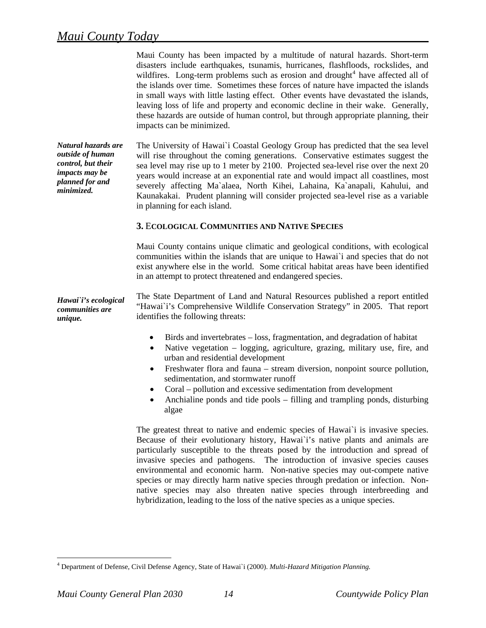Maui County has been impacted by a multitude of natural hazards. Short-term disasters include earthquakes, tsunamis, hurricanes, flashfloods, rockslides, and wildfires. Long-term problems such as erosion and drought<sup>[4](#page-2-0)</sup> have affected all of the islands over time. Sometimes these forces of nature have impacted the islands in small ways with little lasting effect. Other events have devastated the islands, leaving loss of life and property and economic decline in their wake. Generally, these hazards are outside of human control, but through appropriate planning, their impacts can be minimized.

*Natural hazards are outside of human control, but their impacts may be planned for and minimized.*  The University of Hawai`i Coastal Geology Group has predicted that the sea level will rise throughout the coming generations. Conservative estimates suggest the sea level may rise up to 1 meter by 2100. Projected sea-level rise over the next 20 years would increase at an exponential rate and would impact all coastlines, most severely affecting Ma`alaea, North Kihei, Lahaina, Ka`anapali, Kahului, and Kaunakakai. Prudent planning will consider projected sea-level rise as a variable in planning for each island.

# **3.** E**COLOGICAL COMMUNITIES AND NATIVE SPECIES**

Maui County contains unique climatic and geological conditions, with ecological communities within the islands that are unique to Hawai`i and species that do not exist anywhere else in the world. Some critical habitat areas have been identified in an attempt to protect threatened and endangered species.

*Hawai`i's ecological communities are unique.* The State Department of Land and Natural Resources published a report entitled "Hawai`i's Comprehensive Wildlife Conservation Strategy" in 2005. That report identifies the following threats:

- Birds and invertebrates loss, fragmentation, and degradation of habitat
- Native vegetation logging, agriculture, grazing, military use, fire, and urban and residential development
- Freshwater flora and fauna stream diversion, nonpoint source pollution, sedimentation, and stormwater runoff
- Coral pollution and excessive sedimentation from development
- Anchialine ponds and tide pools filling and trampling ponds, disturbing algae

The greatest threat to native and endemic species of Hawai`i is invasive species. Because of their evolutionary history, Hawai`i's native plants and animals are particularly susceptible to the threats posed by the introduction and spread of invasive species and pathogens. The introduction of invasive species causes environmental and economic harm. Non-native species may out-compete native species or may directly harm native species through predation or infection. Nonnative species may also threaten native species through interbreeding and hybridization, leading to the loss of the native species as a unique species.

<span id="page-2-0"></span> $\overline{a}$ 4 Department of Defense, Civil Defense Agency, State of Hawai`i (2000). *Multi-Hazard Mitigation Planning.*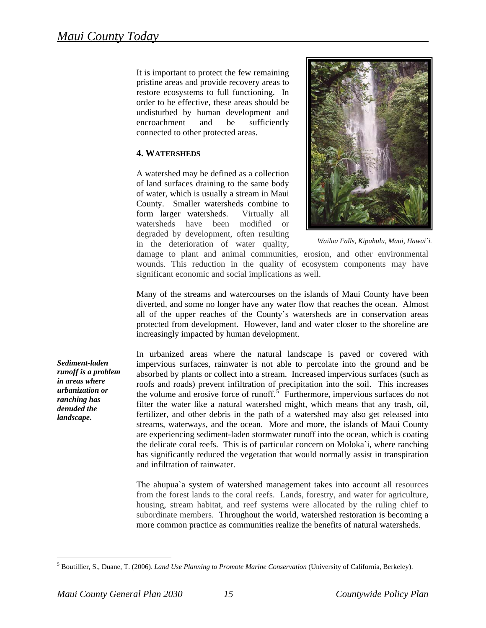connected to other protected areas. It is important to protect the few remaining pristine areas and provide recovery areas to restore ecosystems to full functioning. In order to be effective, these areas should be undisturbed by human development and encroachment and be sufficiently

# **4. WATERSHEDS**

A watershed may be defined as a collection of land surfaces draining to the same body of water, which is usually a stream in Maui County. Smaller watersheds combine to form larger watersheds. Virtually all watersheds have been modified or degraded by development, often resulting in the deterioration of water quality,



*Wailua Falls, Kipahulu, Maui, Hawai`i.*

significant economic and social implications as well. damage to plant and animal communities, erosion, and other environmental wounds. This reduction in the quality of ecosystem components may have

Many of the streams and watercourses on the islands of Maui County have been diverted, and some no longer have any water flow that reaches the ocean. Almost all of the upper reaches of the County's watersheds are in conservation areas protected from development. However, land and water closer to the shoreline are increasingly impacted by human development.

In urbanized areas where the natural landscape is paved or covered with impervious surfaces, rainwater is not able to percolate into the ground and be absorbed by plants or collect into a stream. Increased impervious surfaces (such as roofs and roads) prevent infiltration of precipitation into the soil. This increases the volume and erosive force of runoff.<sup>[5](#page-3-0)</sup> Furthermore, impervious surfaces do not filter the water like a natural watershed might, which means that any trash, oil, fertilizer, and other debris in the path of a watershed may also get released into streams, waterways, and the ocean. More and more, the islands of Maui County are experiencing sediment-laden stormwater runoff into the ocean, which is coating the delicate coral reefs. This is of particular concern on Moloka`i, where ranching has significantly reduced the vegetation that would normally assist in transpiration and infiltration of rainwater.

The ahupua`a system of watershed management takes into account all resources from the forest lands to the coral reefs. Lands, forestry, and water for agriculture, housing, stream habitat, and reef systems were allocated by the ruling chief to subordinate members. Throughout the world, watershed restoration is becoming a more common practice as communities realize the benefits of natural watersheds.

*Sediment-laden runoff is a problem in areas where urbanization or ranching has denuded the landscape.*

<span id="page-3-0"></span><sup>5</sup> Boutillier, S., Duane, T. (2006). *Land Use Planning to Promote Marine Conservation* (University of California, Berkeley).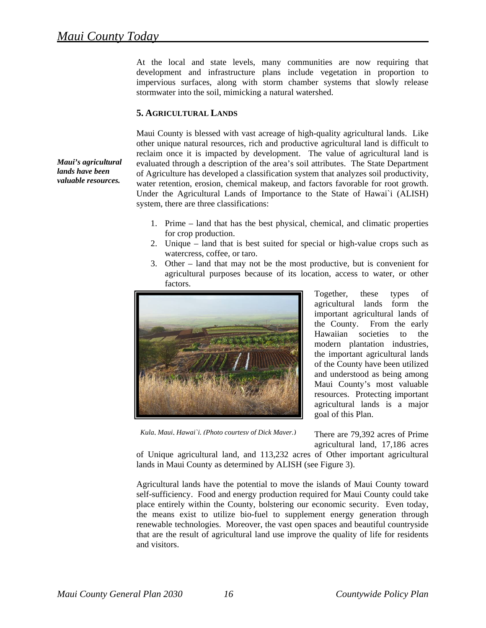*Maui's agricultural lands have been valuable resources.*

At the local and state levels, many communities are now requiring that development and infrastructure plans include vegetation in proportion to impervious surfaces, along with storm chamber systems that slowly release stormwater into the soil, mimicking a natural watershed.

# **5. AGRICULTURAL LANDS**

Maui County is blessed with vast acreage of high-quality agricultural lands. Like other unique natural resources, rich and productive agricultural land is difficult to reclaim once it is impacted by development. The value of agricultural land is evaluated through a description of the area's soil attributes. The State Department of Agriculture has developed a classification system that analyzes soil productivity, water retention, erosion, chemical makeup, and factors favorable for root growth. Under the Agricultural Lands of Importance to the State of Hawai`i (ALISH) system, there are three classifications:

- 1. Prime land that has the best physical, chemical, and climatic properties for crop production.
- 2. Unique land that is best suited for special or high-value crops such as watercress, coffee, or taro.
- 3. Other land that may not be the most productive, but is convenient for agricultural purposes because of its location, access to water, or other factors.



*Kula, Maui, Hawai`i. (Photo courtesy of Dick Mayer.)*

Together, these types of agricultural lands form the important agricultural lands of the County. From the early Hawaiian societies to the modern plantation industries, the important agricultural lands of the County have been utilized and understood as being among Maui County's most valuable resources. Protecting important agricultural lands is a major goal of this Plan.

There are 79,392 acres of Prime agricultural land, 17,186 acres

lands in Maui County as determined by ALISH (see Figure 3). of Unique agricultural land, and 113,232 acres of Other important agricultural

Agricultural lands have the potential to move the islands of Maui County toward self-sufficiency. Food and energy production required for Maui County could take place entirely within the County, bolstering our economic security. Even today, the means exist to utilize bio-fuel to supplement energy generation through renewable technologies. Moreover, the vast open spaces and beautiful countryside that are the result of agricultural land use improve the quality of life for residents and visitors.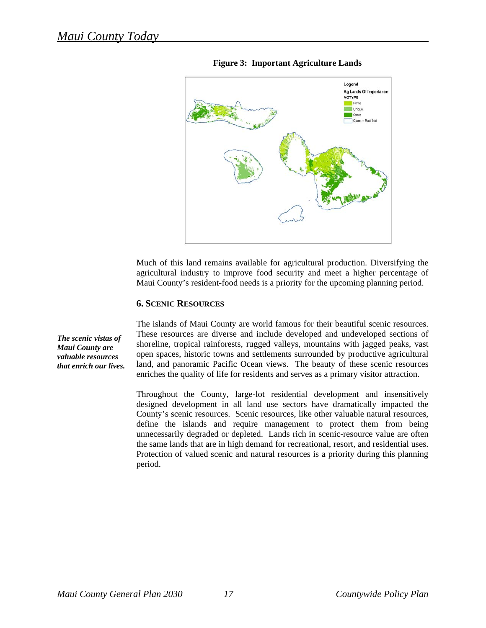

**Figure 3: Important Agriculture Lands** 

Much of this land remains available for agricultural production. Diversifying the agricultural industry to improve food security and meet a higher percentage of Maui County's resident-food needs is a priority for the upcoming planning period.

#### **6. SCENIC RESOURCES**

The islands of Maui County are world famous for their beautiful scenic resources. These resources are diverse and include developed and undeveloped sections of shoreline, tropical rainforests, rugged valleys, mountains with jagged peaks, vast open spaces, historic towns and settlements surrounded by productive agricultural land, and panoramic Pacific Ocean views. The beauty of these scenic resources enriches the quality of life for residents and serves as a primary visitor attraction.

Throughout the County, large-lot residential development and insensitively designed development in all land use sectors have dramatically impacted the County's scenic resources. Scenic resources, like other valuable natural resources, define the islands and require management to protect them from being unnecessarily degraded or depleted. Lands rich in scenic-resource value are often the same lands that are in high demand for recreational, resort, and residential uses. Protection of valued scenic and natural resources is a priority during this planning period.

*The scenic vistas of Maui County are valuable resources that enrich our lives.*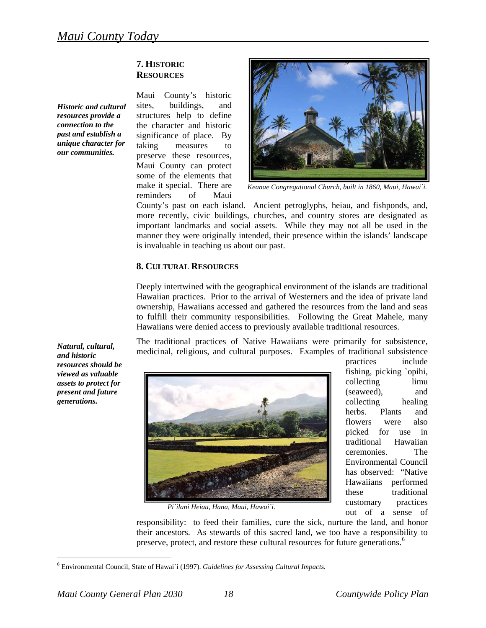# **ESOURCES R 7. HISTORIC**

*Historic and cultural resources provide a connection to the past and establish a unique character for our communities.* 





*Keanae Congregational Church, built in 1860, Maui, Hawai`i.* 

is invaluable in teaching us about our past. County's past on each island. Ancient petroglyphs, heiau, and fishponds, and, more recently, civic buildings, churches, and country stores are designated as important landmarks and social assets. While they may not all be used in the manner they were originally intended, their presence within the islands' landscape

#### **8. CULTURAL RESOURCES**

Deeply intertwined with the geographical environment of the islands are traditional Hawaiian practices. Prior to the arrival of Westerners and the idea of private land ownership, Hawaiians accessed and gathered the resources from the land and seas to fulfill their community responsibilities. Following the Great Mahele, many Hawaiians were denied access to previously available traditional resources.

The traditional practices of Native Hawaiians were primarily for subsistence, medicinal, religious, and cultural purposes. Examples of traditional subsistence



fishing, picking `opihi, collecting limu (seaweed), and collecting healing herbs. Plants and flowers were also picked for use in traditional Hawaiian ceremonies. The Environmental Council has observed: "Native Hawaiians performed these traditional customary practices out of a sense of

practices include

*Pi`ilani Heiau, Hana, Maui, Hawai`i.* 

their ancestors. As stewards of this sacred land, we too have a responsibility to preserve, protect, and restore these cultural resources for future generations.<sup>6</sup> responsibility: to feed their families, cure the sick, nurture the land, and honor

*Natural, cultural, and historic resources should be viewed as valuable assets to protect for present and future generations.* 

<sup>6</sup> Environmental Council, State of Hawai`i (1997). *Guidelines for Assessing Cultural Impacts.*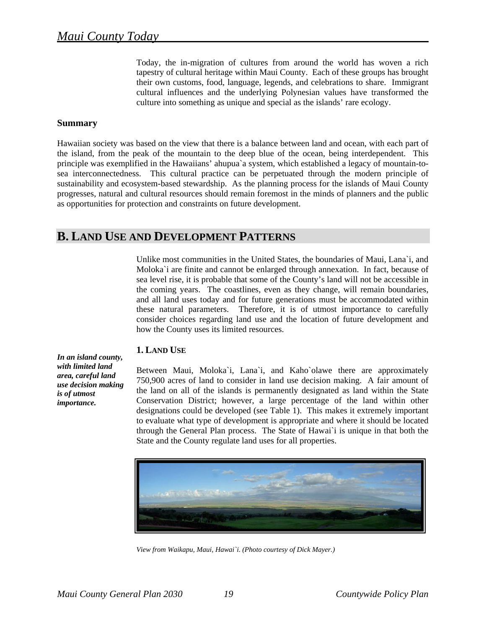Today, the in-migration of cultures from around the world has woven a rich tapestry of cultural heritage within Maui County. Each of these groups has brought their own customs, food, language, legends, and celebrations to share. Immigrant cultural influences and the underlying Polynesian values have transformed the culture into something as unique and special as the islands' rare ecology.

#### **Summary**

Hawaiian society was based on the view that there is a balance between land and ocean, with each part of the island, from the peak of the mountain to the deep blue of the ocean, being interdependent. This principle was exemplified in the Hawaiians' ahupua`a system, which established a legacy of mountain-tosea interconnectedness. This cultural practice can be perpetuated through the modern principle of sustainability and ecosystem-based stewardship. As the planning process for the islands of Maui County progresses, natural and cultural resources should remain foremost in the minds of planners and the public as opportunities for protection and constraints on future development.

# **B. LAND USE AND DEVELOPMENT PATTERNS**

Unlike most communities in the United States, the boundaries of Maui, Lana`i, and Moloka`i are finite and cannot be enlarged through annexation. In fact, because of sea level rise, it is probable that some of the County's land will not be accessible in the coming years. The coastlines, even as they change, will remain boundaries, and all land uses today and for future generations must be accommodated within these natural parameters. Therefore, it is of utmost importance to carefully consider choices regarding land use and the location of future development and how the County uses its limited resources.

# **1. LAND USE**

*In an island county, with limited land area, careful land use decision making is of utmost importance.* 

Between Maui, Moloka`i, Lana`i, and Kaho`olawe there are approximately 750,900 acres of land to consider in land use decision making. A fair amount of the land on all of the islands is permanently designated as land within the State Conservation District; however, a large percentage of the land within other designations could be developed (see Table 1). This makes it extremely important to evaluate what type of development is appropriate and where it should be located through the General Plan process. The State of Hawai`i is unique in that both the State and the County regulate land uses for all properties.



*View from Waikapu, Maui, Hawai`i. (Photo courtesy of Dick Mayer.)*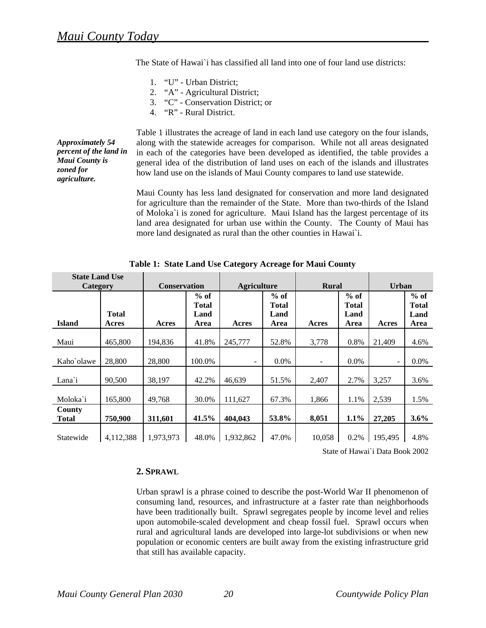The State of Hawai`i has classified all land into one of four land use districts:

- 1. "U" Urban District;
- 2. "A" Agricultural District;
- 3. "C" Conservation District; or
- 4. "R" Rural District.

*Approximately 54 percent of the land in Maui County is zoned for agriculture.*

Table 1 illustrates the acreage of land in each land use category on the four islands, along with the statewide acreages for comparison. While not all areas designated in each of the categories have been developed as identified, the table provides a general idea of the distribution of land uses on each of the islands and illustrates how land use on the islands of Maui County compares to land use statewide.

Maui County has less land designated for conservation and more land designated for agriculture than the remainder of the State. More than two-thirds of the Island of Moloka`i is zoned for agriculture. Maui Island has the largest percentage of its land area designated for urban use within the County. The County of Maui has more land designated as rural than the other counties in Hawai`i.

| <b>State Land Use</b>  |              |                     |                 |                    |                        |              |                 |         |                        |
|------------------------|--------------|---------------------|-----------------|--------------------|------------------------|--------------|-----------------|---------|------------------------|
| Category               |              | <b>Conservation</b> |                 | <b>Agriculture</b> |                        | <b>Rural</b> |                 | Urban   |                        |
|                        |              |                     | $%$ of<br>Total |                    | $%$ of<br><b>Total</b> |              | $%$ of<br>Total |         | $%$ of<br><b>Total</b> |
|                        | <b>Total</b> |                     | Land            |                    | Land                   |              | Land            |         | Land                   |
| <b>Island</b>          | Acres        | Acres               | Area            | Acres              | Area                   | Acres        | Area            | Acres   | Area                   |
| Maui                   | 465,800      | 194,836             | 41.8%           | 245,777            | 52.8%                  | 3,778        | 0.8%            | 21,409  | 4.6%                   |
| Kaho`olawe             | 28,800       | 28,800              | 100.0%          |                    | $0.0\%$                |              | $0.0\%$         |         | $0.0\%$                |
| Lana <sup>i</sup>      | 90,500       | 38,197              | 42.2%           | 46,639             | 51.5%                  | 2,407        | 2.7%            | 3,257   | 3.6%                   |
| Moloka`i               | 165,800      | 49,768              | 30.0%           | 111,627            | 67.3%                  | 1,866        | 1.1%            | 2,539   | 1.5%                   |
| County<br><b>Total</b> | 750,900      | 311,601             | 41.5%           | 404,043            | 53.8%                  | 8,051        | 1.1%            | 27,205  | 3.6%                   |
| Statewide              | 4,112,388    | 1,973,973           | 48.0%           | 1,932,862          | 47.0%                  | 10,058       | 0.2%            | 195,495 | 4.8%                   |

**Table 1: State Land Use Category Acreage for Maui County** 

State of Hawai`i Data Book 2002

#### **2. SPRAWL**

Urban sprawl is a phrase coined to describe the post-World War II phenomenon of consuming land, resources, and infrastructure at a faster rate than neighborhoods have been traditionally built. Sprawl segregates people by income level and relies upon automobile-scaled development and cheap fossil fuel. Sprawl occurs when rural and agricultural lands are developed into large-lot subdivisions or when new population or economic centers are built away from the existing infrastructure grid that still has available capacity.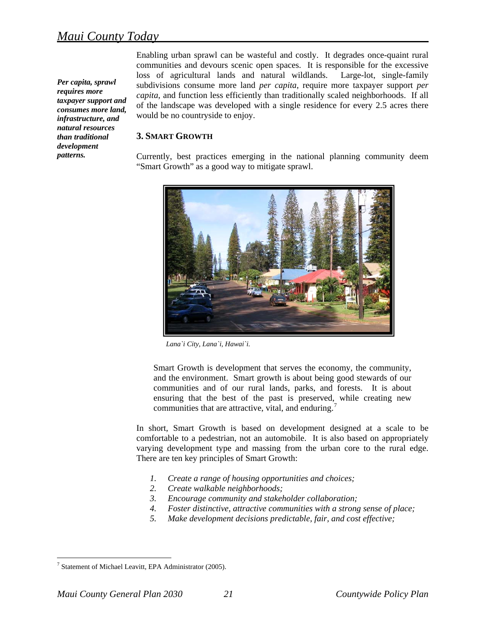<span id="page-9-0"></span>*Per capita, sprawl requires more taxpayer support and consumes more land, infrastructure, and natural resources than traditional development patterns.*

Enabling urban sprawl can be wasteful and costly. It degrades once-quaint rural communities and devours scenic open spaces. It is responsible for the excessive loss of agricultural lands and natural wildlands. Large-lot, single-family subdivisions consume more land *per capita*, require more taxpayer support *per capita*, and function less efficiently than traditionally scaled neighborhoods. If all of the landscape was developed with a single residence for every 2.5 acres there would be no countryside to enjoy.

#### **3. SMART GROWTH**

Currently, best practices emerging in the national planning community deem "Smart Growth" as a good way to mitigate sprawl.



*Lana`i City, Lana`i, Hawai`i.* 

Smart Growth is development that serves the economy, the community, and the environment. Smart growth is about being good stewards of our communities and of our rural lands, parks, and forests. It is about ensuring that the best of the past is preserved, while creating new communities that are attractive, vital, and enduring.<sup>[7](#page-9-0)</sup>

In short, Smart Growth is based on development designed at a scale to be comfortable to a pedestrian, not an automobile. It is also based on appropriately varying development type and massing from the urban core to the rural edge. There are ten key principles of Smart Growth:

- *1. Create a range of housing opport unities and choices;*
- *2. Create walkable neighborhoods;*
- *3. Encourage community and stakeholder collaboration;*
- *4. Foster distinctive, attractive communities with a strong sense of place;*
- *5. Make development decisions predictable, fair, and cost effective;*

<sup>&</sup>lt;sup>7</sup> Statement of Michael Leavitt, EPA Administrator (2005).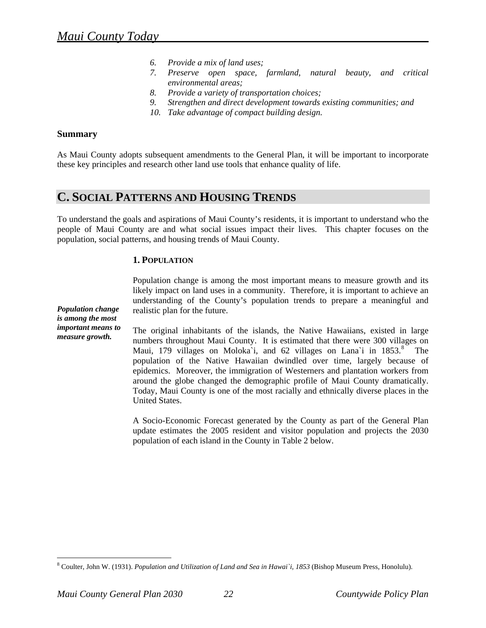- *6. Provide a mix of land uses;*
- *7. Preserve open space, farmland, natural beauty, and critical environmental areas;*
- *8. Provide a variety of transportation choices;*
- *9. Strengthen and direct development towards existing communities; and*
- *10. Take advantage of compact building design.*

#### **Summary**

*Population change is among the most important means to measure growth.*

As Maui County adopts subsequent amendments to the General Plan, it will be important to incorporate these key principles and research other land use tools that enhance quality of life.

# **C. SOCIAL PATTERNS AND HOUSING TRENDS**

To understand the goals and aspirations of Maui County's residents, it is important to understand who the people of Maui County are and what social issues impact their lives. This chapter focuses on the population, social patterns, and housing trends of Maui County.

# **1. POPULATION**

Population change is among the most important means to measure growth and its likely impact on land uses in a community. Therefore, it is important to achieve an understanding of the County's population trends to prepare a meaningful and realistic plan for the future.

The original inhabitants of the islands, the Native Hawaiians, existed in large numbers throughout Maui County. It is estimated that there were 300 villages on Maui, 179 villages on Moloka'i, and 62 villages on Lana'i in  $1853$  $1853$  $1853$ .<sup>8</sup> The population of the Native Hawaiian dwindled over time, largely because of epidemics. Moreover, the immigration of Westerners and plantation workers from around the globe changed the demographic profile of Maui County dramatically. Today, Maui County is one of the most racially and ethnically diverse places in the United States.

update estimates the 2005 resident and visitor population and projects the 2030 population of each island in the County in Table 2 below. A Socio-Economic Forecast generated by the County as part of the General Plan

<span id="page-10-0"></span><sup>8</sup> Coulter, John W. (1931). *Population and Utilization of Land and Sea in Hawai`i, 1853* (Bishop Museum Press, Honolulu).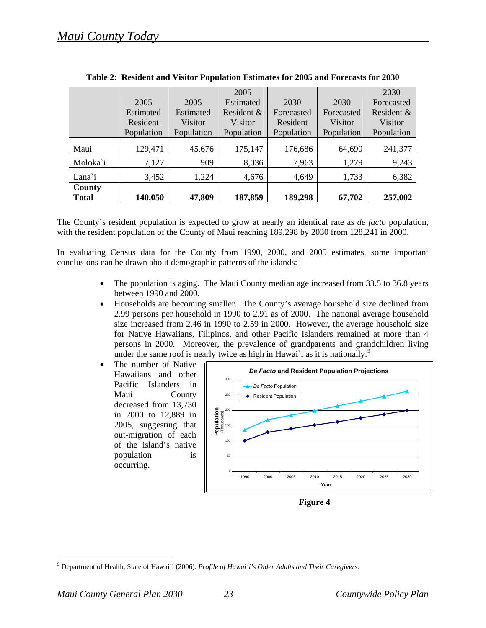|              |            |            | 2005       |            |            | 2030       |
|--------------|------------|------------|------------|------------|------------|------------|
|              | 2005       | 2005       | Estimated  | 2030       | 2030       | Forecasted |
|              | Estimated  | Estimated  | Resident & | Forecasted | Forecasted | Resident & |
|              | Resident   | Visitor    | Visitor    | Resident   | Visitor    | Visitor    |
|              | Population | Population | Population | Population | Population | Population |
| Maui         | 129,471    | 45,676     | 175,147    | 176,686    | 64,690     | 241,377    |
| Moloka`i     | 7,127      | 909        | 8,036      | 7,963      | 1,279      | 9,243      |
| Lana`i       | 3,452      | 1,224      | 4,676      | 4,649      | 1,733      | 6,382      |
| County       |            |            |            |            |            |            |
| <b>Total</b> | 140,050    | 47,809     | 187,859    | 189,298    | 67,702     | 257,002    |

The County's resident population is expected to grow at nearly an identical rate as *de facto* population, with the resident population of the County of Maui reaching 189,298 by 2030 from 128,241 in 2000.

In evaluating Census data for the County from 1990, 2000, and 2005 estimates, some important conclusions can be drawn about demographic patterns of the islands:

- The population is aging. The Maui County median age increased from 33.5 to 36.8 years between 1990 and 2000.
- Households are becoming smaller. The County's average household size declined from 2.99 persons per household in 1990 to 2.91 as of 2000. The national average household size increased from 2.46 in 1990 to 2.59 in 2000. However, the average household size for Native Hawaiians, Filipinos, and other Pacific Islanders remained at more than 4 persons in 2000.Moreover, the prevalence of grandparents and grandchildren living under the same roof is nearly twice as high in Hawai<sup>t</sup> i as it is nationally.<sup>[9](#page-11-0)</sup>
- The number of Native Hawaiians and other Pacific Islanders in Maui County decreased from 13,730 in 2000 to 12,889 in 2005, suggesting that out-migration of each of the island's native population is occurring.



**Figure 4** 

<span id="page-11-0"></span><sup>9</sup> Department of Health, State of Hawai`i (2006). *Profile of Hawai`i's Older Adults and Their Caregivers*.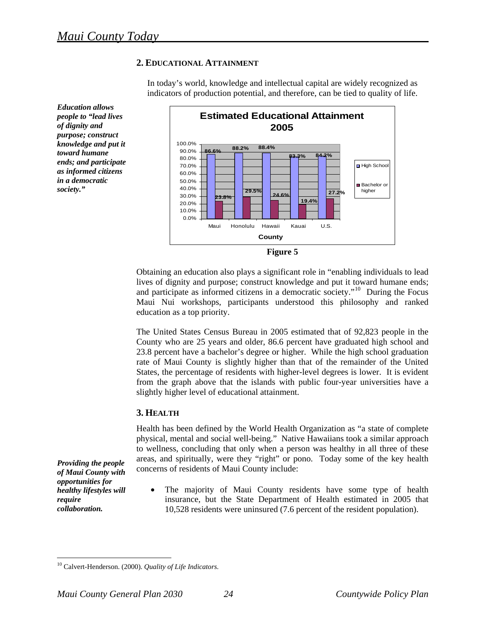*Education allows people to "lead lives of dignity and purpose; construct knowledge and put it toward humane ends; and participate as informed citizens in a democratic society."* 

# **2. EDUCATIONAL ATTAINMENT**

In today's world, knowledge and intellectual capital are widely recognized as indicators of production potential, and therefore, can be tied to quality of life.



**Figure 5** 

Obtaining an education also plays a significant role in "enabling individuals to lead lives of dignity and purpose; construct knowledge and put it toward humane ends; and participate as informed citizens in a democratic society."[10](#page-12-0) During the Focus Maui Nui workshops, participants understood this philosophy and ranked education as a top priority.

The United States Census Bureau in 2005 estimated that of 92,823 people in the County who are 25 years and older, 86.6 percent have graduated high school and 23.8 percent have a bachelor's degree or higher. While the high school graduation rate of Maui County is slightly higher than that of the remainder of the United States, the percentage of residents with higher-level degrees is lower. It is evident from the graph above that the islands with public four-year universities have a slightly higher level of educational attainment.

# **3. HEALTH**

Health has been defined by the World Health Organization as "a state of complete physical, mental and social well-being." Native Hawaiians took a similar approach to wellness, concluding that only when a person was healthy in all three of these areas, and spiritually, were they "right" or pono. Today some of the key health concerns of residents of Maui County include:

The majority of Maui County residents have some type of health insurance, but the State Department of Health estimated in 2005 that 10,528 residents were uninsured (7.6 percent of the resident population).

*Providing the people of Maui County with opportunities for healthy lifestyles will require collaboration.*

<span id="page-12-0"></span><sup>10</sup> Calvert-Henderson. (2000). *Quality of Life Indicators.*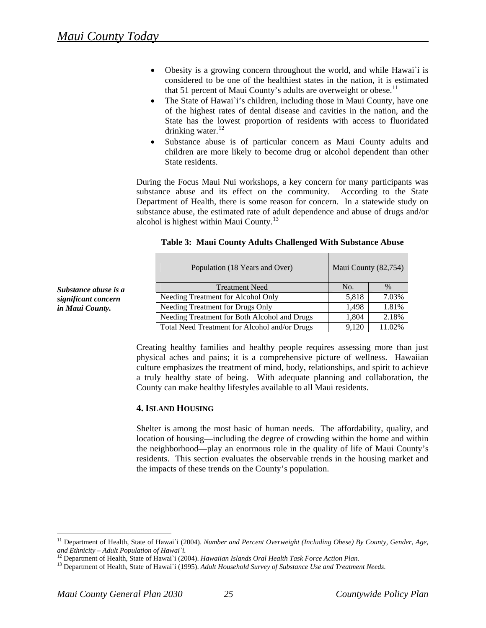- <span id="page-13-0"></span>• Obesity is a growing concern throughout the world, and while Hawai'i is considered to be one of the healthiest states in the nation, it is estimated that 51 percent of Maui County's adults are overweight or obese.<sup>[11](#page-13-0)</sup>
- The State of Hawai`i's children, including those in Maui County, have one of the highest rates of dental disease and cavities in the nation, and the State has the lowest proportion of residents with access to fluoridated drinking water. $^{12}$  $^{12}$  $^{12}$
- Substance abuse is of particular concern as Maui County adults and children are more likely to become drug or alcohol dependent than other State residents.

During the Focus Maui Nui workshops, a key concern for many participants was substance abuse and its effect on the community. According to the State Department of Health, there is some reason for concern. In a statewide study on substance abuse, the estimated rate of adult dependence and abuse of drugs and/or alcohol is highest within Maui County.[13](#page-13-0)

|                                                                             | Maui County (82,754) |  |  |
|-----------------------------------------------------------------------------|----------------------|--|--|
| No.<br>$\%$<br><b>Treatment Need</b><br>Substance abuse is a                |                      |  |  |
| 7.03%<br>Needing Treatment for Alcohol Only<br>5,818<br>significant concern |                      |  |  |
| 1.81%<br>Needing Treatment for Drugs Only<br>1.498<br>in Maui County.       |                      |  |  |
| Needing Treatment for Both Alcohol and Drugs<br>2.18%<br>1.804              |                      |  |  |
| Total Need Treatment for Alcohol and/or Drugs<br>9,120<br>11.02%            |                      |  |  |

#### **Table 3: Maui County Adults Challenged With Substance Abuse**

Creating healthy families and healthy people requires assessing more than just physical aches and pains; it is a comprehensive picture of wellness. Hawaiian culture emphasizes the treatment of mind, body, relationships, and spirit to achieve a truly healthy state of being. With adequate planning and collaboration, the County can make healthy lifestyles available to all Maui residents.

# **4. ISLAND HOUSING**

Shelter is among the most basic of human needs. The affordability, quality, and location of housing—including the degree of crowding within the home and within the neighborhood—play an enormous role in the quality of life of Maui County's residents. This section evaluates the observable trends in the housing market and the impacts of these trends on the County's population.

<sup>&</sup>lt;sup>11</sup> Department of Health, State of Hawai`i (2004). *Number and Percent Overweight (Including Obese) By County, Gender, Age,* and Ethnicity – Adult Population of Hawai'i.<br><sup>12</sup> Department of Health, State of Hawai'i (2004). Hawaiian Islands Oral Health Task Force Action Plan.<br><sup>13</sup> Department of Health, State of Hawai'i (1995). Adult Household Sur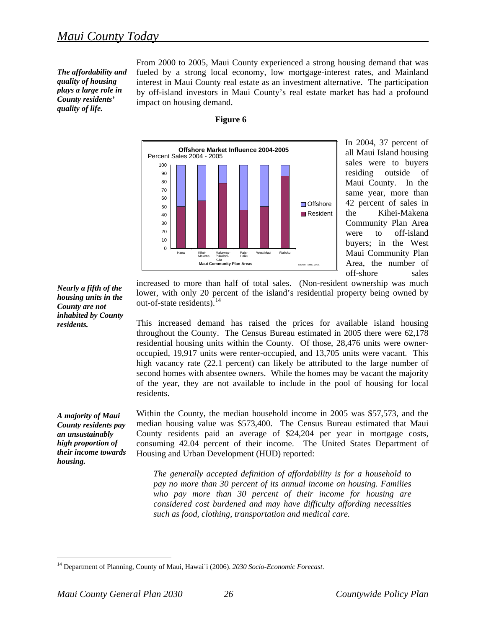<span id="page-14-0"></span>*The affordability and quality of housing plays a large role in County residents' quality of life.* 

From 2000 to 2005, Maui County experienced a strong housing demand that was fueled by a strong local economy, low mortgage-interest rates, and Mainland interest in Maui County real estate as an investment alternative. The participation by off-island investors in Maui County's real estate market has had a profound impact on housing demand.



**Figure 6** 

In 2004, 37 percent of all Maui Island housing sales were to buyers residing outside of Maui County. In the same year, more than 42 percent of sales in the Kihei-Makena Community Plan Area were to off-island buyers; in the West Maui Community Plan Area, the number of off-shore sales

*Nearly a fifth of the housing units in the County are not inhabited by County residents.* 

increased to more than half of total sales. (Non-resident ownership was much lower, with only 20 percent of the island's residential property being owned by out-of-state residents). $^{14}$  $^{14}$  $^{14}$ 

This increased demand has raised the prices for available island housing throughout the County. The Census Bureau estimated in 2005 there were 62,178 residential housing units within the County. Of those, 28,476 units were owneroccupied, 19,917 units were renter-occupied, and 13,705 units were vacant. This high vacancy rate (22.1 percent) can likely be attributed to the large number of second homes with absentee owners. While the homes may be vacant the majority of the year, they are not available to include in the pool of housing for local residents.

*A majority of Maui County residents pay an unsustainably high proportion of their income towards housing.* 

 $\overline{a}$ 

Within the County, the median household income in 2005 was \$57,573, and the median housing value was \$573,400. The Census Bureau estimated that Maui County residents paid an average of \$24,204 per year in mortgage costs, consuming 42.04 percent of their income. The United States Department of Housing and Urban Development (HUD) reported:

*The generally accepted definition of affordability is for a household to pay no more than 30 percent of its annual income on housing. Families who pay more than 30 percent of their income for housing are considered cost burdened and may have difficulty affording necessities such as food, clothing, transportation and medical care.*

<sup>14</sup> Department of Planning, County of Maui, Hawai`i (2006). *2030 Socio-Economic Forecast*.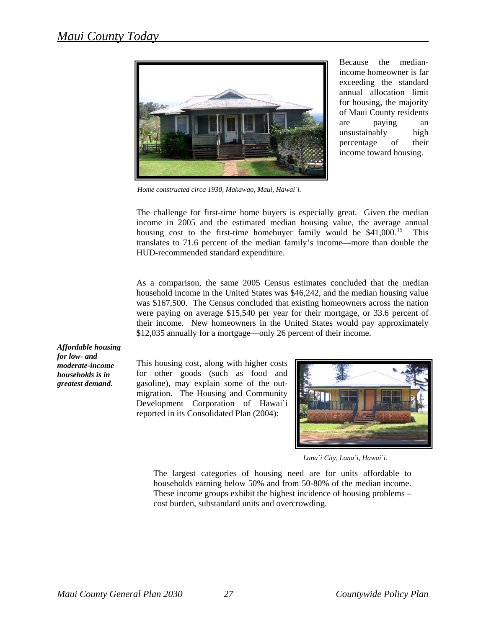<span id="page-15-0"></span>

Because the medianincome homeowner is far exceeding the standard annual allocation limit for housing, the majority of Maui County residents are paying an unsustainably high percentage of their income toward housing.

*Home constructed circa 1930, Makawao, Maui, Hawai`i.* 

translates to 71.6 percent of the median family's income—more than double the UD-recommended standard expenditure. H The challenge for first-time home buyers is especially great. Given the median income in 2005 and the estimated median housing value, the average annual housing cost to the first-time homebuyer family would be  $$41,000$ .<sup>[15](#page-15-0)</sup> This

their income. New homeowners in the United States would pay approximately 12,035 annually for a mortgage—only 26 percent of their income. \$ As a comparison, the same 2005 Census estimates concluded that the median household income in the United States was \$46,242, and the median housing value was \$167,500. The Census concluded that existing homeowners across the nation were paying on average \$15,540 per year for their mortgage, or 33.6 percent of

*Affordable housing for low- and moderate-income households is in greatest demand.*

Development Corporation of Hawai`i reported in its Consolidated Plan (2004): This housing cost, along with higher costs for other goods (such as food and gasoline), may explain some of the outmigration. The Housing and Community



*Lana`i City, Lana`i, Hawai`i.* 

These income groups exhibit the highest incidence of housing problems cost burden, substandard units and overcrowding. The largest categories of housing need are for units affordable to households earning below 50% and from 50-80% of the median income.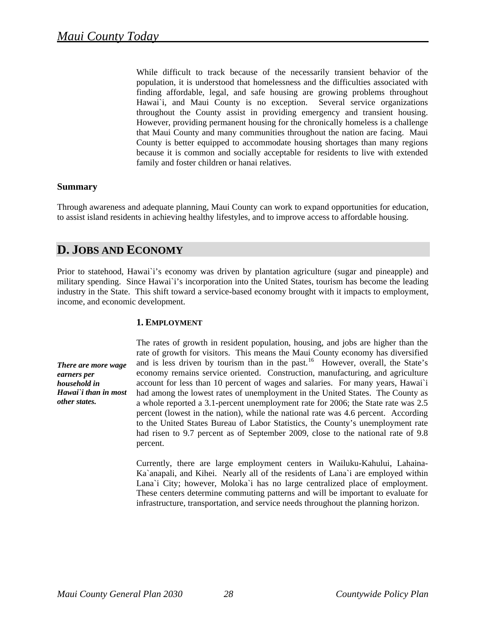<span id="page-16-0"></span>because it is common and socially acceptable for residents to live with extended family and foster children or hanai relatives. While difficult to track because of the necessarily transient behavior of the population, it is understood that homelessness and the difficulties associated with finding affordable, legal, and safe housing are growing problems throughout Hawai`i, and Maui County is no exception. Several service organizations throughout the County assist in providing emergency and transient housing. However, providing permanent housing for the chronically homeless is a challenge that Maui County and many communities throughout the nation are facing. Maui County is better equipped to accommodate housing shortages than many regions

# **Summary**

Through awareness and adequate planning, Maui County can work to expand opportunities for education, to assist island residents in achieving healthy lifestyles, and to improve access to affordable housing.

# **D. JOBS AND ECONOMY**

industry in the State. This shift toward a service-based economy brought with it impacts to employment, income, and economic development. Prior to statehood, Hawai`i's economy was driven by plantation agriculture (sugar and pineapple) and military spending. Since Hawai`i's incorporation into the United States, tourism has become the leading

# **. EMPLOYMENT 1**

*There are more wage in most Hawai`i than other states. earners per household in* 

had risen to 9.7 percent as of September 2009, close to the national rate of 9.8 percent. The rates of growth in resident population, housing, and jobs are higher than the rate of growth for visitors. This means the Maui County economy has diversified and is less driven by tourism than in the past.<sup>[16](#page-16-0)</sup> However, overall, the State's economy remains service oriented. Construction, manufacturing, and agriculture account for less than 10 percent of wages and salaries. For many years, Hawai`i had among the lowest rates of unemployment in the United States. The County as a whole reported a 3.1-percent unemployment rate for 2006; the State rate was 2.5 percent (lowest in the nation), while the national rate was 4.6 percent. According to the United States Bureau of Labor Statistics, the County's unemployment rate

These centers determine commuting patterns and will be important to evaluate for frastructure, transportation, and service needs throughout the planning horizon. inCurrently, there are large employment centers in Wailuku-Kahului, Lahaina-Ka`anapali, and Kihei. Nearly all of the residents of Lana`i are employed within Lana`i City; however, Moloka`i has no large centralized place of employment.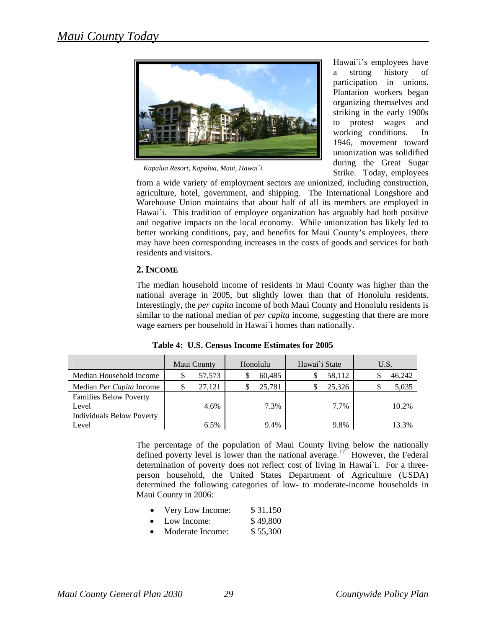<span id="page-17-0"></span>

*Kapalua Resort, Kapalua, Maui, Hawai`i.*

Hawai`i's employees have a strong history of participation in unions. Plantation workers began organizing themselves and striking in the early 1900s to protest wages and working conditions. In 1946, movement toward unionization was solidified during the Great Sugar Strike. Today, employees

from a wide variety of employment sectors are unionized, including construction, agriculture, hotel, government, and shipping. The International Longshore and Warehouse Union maintains that about half of all its members are employed in Hawai'i. This tradition of employee organization has arguably had both positive and negative impacts on the local economy. While unionization has likely led to better working conditions, pay, and benefits for Maui County's employees, there may have been corresponding increases in the costs of goods and services for both residents and visitors.

# **2. INCOME**

The median household income of residents in Maui County was higher than the national average in 2005, but slightly lower than that of Honolulu residents. Interestingly, the *per capita* income of both Maui County and Honolulu residents is similar to the national median of *per capita* income, suggesting that there are more wage earners per household in Hawai`i homes than nationally.

|                                 | Maui County |        | Honolulu |        | Hawai`i State |        | U.S. |        |
|---------------------------------|-------------|--------|----------|--------|---------------|--------|------|--------|
| Median Household Income         |             | 57,573 |          | 60,485 |               | 58,112 |      | 46,242 |
| Median <i>Per Capita</i> Income | S           | 27.121 |          | 25,781 |               | 25.326 |      | 5,035  |
| <b>Families Below Poverty</b>   |             |        |          |        |               |        |      |        |
| Level                           |             | 4.6%   |          | 7.3%   |               | 7.7%   |      | 10.2%  |
| Individuals Below Poverty       |             |        |          |        |               |        |      |        |
| Level                           |             | 6.5%   |          | 9.4%   |               | 9.8%   |      | 13.3%  |

**Table 4: U.S. Census Income Estimates for 2005**

The percentage of the population of Maui County living below the nationally defined poverty level is lower than the national average.<sup>[17](#page-17-0)</sup> However, the Federal determination of poverty does not reflect cost of living in Hawai`i. For a threeperson household, the United States Department of Agriculture (USDA) determined the following categories of low- to moderate-income households in Maui County in 2006:

- Very Low Income: \$31,150
- Low Income: \$49,800
- Moderate Income: \$55,300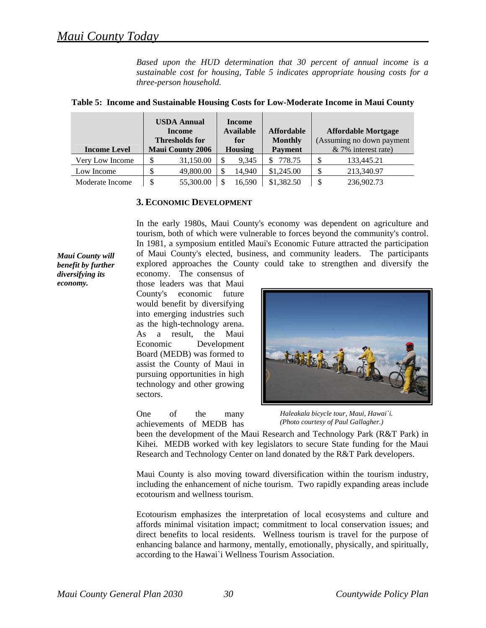*Based upon the HUD determination that 30 percent of annual income is a sustainable cost for housing, Table 5 indicates appropriate housing costs for a three-person household.* 

|                     | <b>USDA Annual</b><br><b>Income</b><br><b>Thresholds for</b> |                         | <b>Income</b><br><b>Available</b><br>for |                | <b>Affordable</b><br><b>Monthly</b> | <b>Affordable Mortgage</b><br>(Assuming no down payment |                     |
|---------------------|--------------------------------------------------------------|-------------------------|------------------------------------------|----------------|-------------------------------------|---------------------------------------------------------|---------------------|
| <b>Income Level</b> |                                                              | <b>Maui County 2006</b> |                                          | <b>Housing</b> | <b>Payment</b>                      |                                                         | & 7% interest rate) |
| Very Low Income     |                                                              | 31,150.00               |                                          | 9.345          | 778.75                              |                                                         | 133,445.21          |
| Low Income          |                                                              | 49,800.00               |                                          | 14.940         | \$1,245.00                          |                                                         | 213,340.97          |
| Moderate Income     |                                                              | 55,300.00               |                                          | 16,590         | \$1,382.50                          |                                                         | 236,902.73          |

#### **Table 5: Income and Sustainable Housing Costs for Low-Moderate Income in Maui County**

#### **3. ECONOMIC DEVELOPMENT**

In the early 1980s, Maui County's economy was dependent on agriculture and tourism, both of which were vulnerable to forces beyond the community's control. In 1981, a symposium entitled Maui's Economic Future attracted the participation of Maui County's elected, business, and community leaders. The participants explored approaches the County could take to strengthen and diversify the

*Maui County will benefit by further diversifying its economy.* 

economy. The consensus of those leaders was that Maui County's economic future would benefit by diversifying into emerging industries such as the high-technology arena. As a result, the Maui Economic Development Board (MEDB) was formed to assist the County of Maui in pursuing opportunities in high technology and other growing sectors.

One of the many achievements of MEDB has



*Haleakala bicycle tour, Maui, Hawai`i. (Photo courtesy of Paul Gallagher.)*

Research and Technology Center on land donated by the R&T Park developers. been the development of the Maui Research and Technology Park (R&T Park) in Kihei. MEDB worked with key legislators to secure State funding for the Maui

Maui County is also moving toward diversification within the tourism industry, including the enhancement of niche tourism. Two rapidly expanding areas include ecotourism and wellness tourism.

Ecotourism emphasizes the interpretation of local ecosystems and culture and affords minimal visitation impact; commitment to local conservation issues; and direct benefits to local residents. Wellness tourism is travel for the purpose of enhancing balance and harmony, mentally, emotionally, physically, and spiritually, according to the Hawai`i Wellness Tourism Association.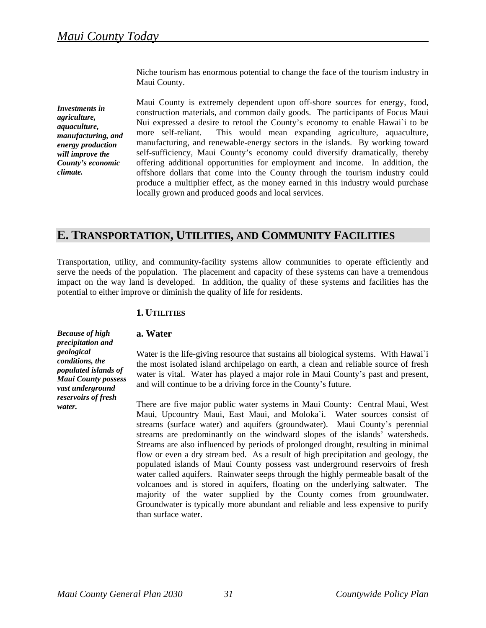Niche tourism has enormous potential to change the face of the tourism industry in Maui County.

*Investments in agriculture, aquaculture, manufacturing, and energy production will improve the County's economic climate.*

Maui County is extremely dependent upon off-shore sources for energy, food, construction materials, and common daily goods. The participants of Focus Maui Nui expressed a desire to retool the County's economy to enable Hawai`i to be more self-reliant. This would mean expanding agriculture, aquaculture, manufacturing, and renewable-energy sectors in the islands. By working toward self-sufficiency, Maui County's economy could diversify dramatically, thereby offering additional opportunities for employment and income. In addition, the offshore dollars that come into the County through the tourism industry could produce a multiplier effect, as the money earned in this industry would purchase locally grown and produced goods and local services.

# **E. TRANSPORTATION, UTILITIES, AND COMMUNITY FACILITIES**

Transportation, utility, and community-facility systems allow communities to operate efficiently and serve the needs of the population. The placement and capacity of these systems can have a tremendous impact on the way land is developed. In addition, the quality of these systems and facilities has the potential to either improve or diminish the quality of life for residents.

# **1. UTILITIES**

*Because of high precipitation and geological conditions, the populated islands of Maui County possess vast underground reservoirs of fresh water.* 

#### **a. Water**

Water is the life-giving resource that sustains all biological systems. With Hawai'i the most isolated island archipelago on earth, a clean and reliable source of fresh water is vital. Water has played a major role in Maui County's past and present, and will continue to be a driving force in the County's future.

There are five major public water systems in Maui County: Central Maui, West Maui, Upcountry Maui, East Maui, and Moloka`i. Water sources consist of streams (surface water) and aquifers (groundwater). Maui County's perennial streams are predominantly on the windward slopes of the islands' watersheds. Streams are also influenced by periods of prolonged drought, resulting in minimal flow or even a dry stream bed. As a result of high precipitation and geology, the populated islands of Maui County possess vast underground reservoirs of fresh water called aquifers. Rainwater seeps through the highly permeable basalt of the volcanoes and is stored in aquifers, floating on the underlying saltwater. The majority of the water supplied by the County comes from groundwater. Groundwater is typically more abundant and reliable and less expensive to purify than surface water.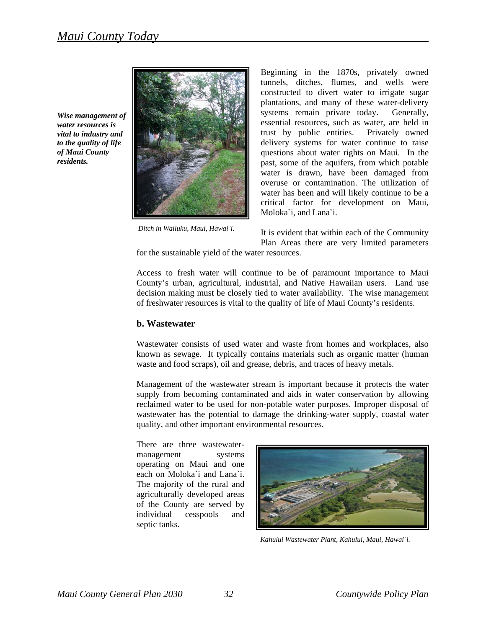*Wise management of water resources is vital to industry and to the quality of life of Maui County residents.* 



 *Ditch in Wailuku, Maui, Hawai`i.* 

Beginning in the 1870s, privately owned tunnels, ditches, flumes, and wells were constructed to divert water to irrigate sugar plantations, and many of these water-delivery systems remain private today. Generally, essential resources, such as water, are held in trust by public entities. Privately owned delivery systems for water continue to raise questions about water rights on Maui. In the past, some of the aquifers, from which potable water is drawn, have been damaged from overuse or contamination. The utilization of water has been and will likely continue to be a critical factor for development on Maui, Moloka`i, and Lana`i.

Plan Areas there are very limited parameters It is evident that within each of the Community

for the sustainable yield of the water resources.

decision making must be closely tied to water availability. The wise management of freshwater resources is vital to the quality of life of Maui County's residents. Access to fresh water will continue to be of paramount importance to Maui County's urban, agricultural, industrial, and Native Hawaiian users. Land use

#### **. Wastewater b**

known as sewage. It typically contains materials such as organic matter (human waste and food scraps), oil and grease, debris, and traces of heavy metals. Wastewater consists of used water and waste from homes and workplaces, also

wastewater has the potential to damage the drinking-water supply, coastal water quality, and other important environmental resources. Management of the wastewater stream is important because it protects the water supply from becoming contaminated and aids in water conservation by allowing reclaimed water to be used for non-potable water purposes. Improper disposal of

cesspools and septic tanks. There are three wastewatermanagement systems operating on Maui and one each on Moloka`i and Lana`i. The majority of the rural and agriculturally developed areas of the County are served by individu



*Kahului Wastewater Plant, Kahului, Maui, Hawai`i.*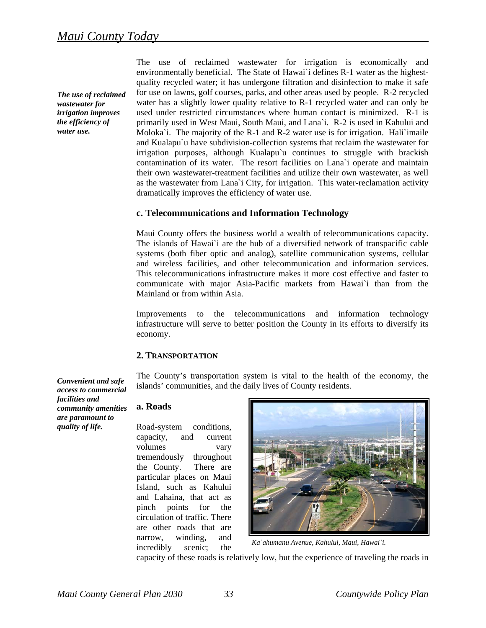*The use of reclaimed wastewater for irrigation improves the efficiency of water use.* 

The use of reclaimed wastewater for irrigation is economically and environmentally beneficial. The State of Hawai`i defines R-1 water as the highestquality recycled water; it has undergone filtration and disinfection to make it safe for use on lawns, golf courses, parks, and other areas used by people. R-2 recycled water has a slightly lower quality relative to R-1 recycled water and can only be used under restricted circumstances where human contact is minimized. R-1 is primarily used in West Maui, South Maui, and Lana`i. R-2 is used in Kahului and Moloka'i. The majority of the R-1 and R-2 water use is for irrigation. Hali'imaile and Kualapu`u have subdivision-collection systems that reclaim the wastewater for irrigation purposes, although Kualapu`u continues to struggle with brackish contamination of its water. The resort facilities on Lana`i operate and maintain their own wastewater-treatment facilities and utilize their own wastewater, as well as the wastewater from Lana`i City, for irrigation. This water-reclamation activity dramatically improves the efficiency of water use.

#### **c. Telecommunications and Information Technology**

Maui County offers the business world a wealth of telecommunications capacity. The islands of Hawai`i are the hub of a diversified network of transpacific cable systems (both fiber optic and analog), satellite communication systems, cellular and wireless facilities, and other telecommunication and information services. This telecommunications infrastructure makes it more cost effective and faster to communicate with major Asia-Pacific markets from Hawai`i than from the Mainland or from within Asia.

Improvements to the telecommunications and information technology infrastructure will serve to better position the County in its efforts to diversify its economy.

#### **2. TRANSPORTATION**

The County's transportation system is vital to the health of the economy, the islands' communities, and the daily lives of County residents.

#### **a. Roads**

Road-system conditions, capacity, and current volumes vary tremendously throughout the County. There are particular places on Maui Island, such as Kahului and Lahaina, that act as pinch points for the circulation of traffic. There are other roads that are narrow, winding, and incredibly scenic; the



*Ka`ahumanu Avenue, Kahului, Maui, Hawai`i.* 

capacity of these roads is relatively low, but the experience of traveling the roads in

*Convenient and safe access to commercial facilities and community amenities are paramount to quality of life.*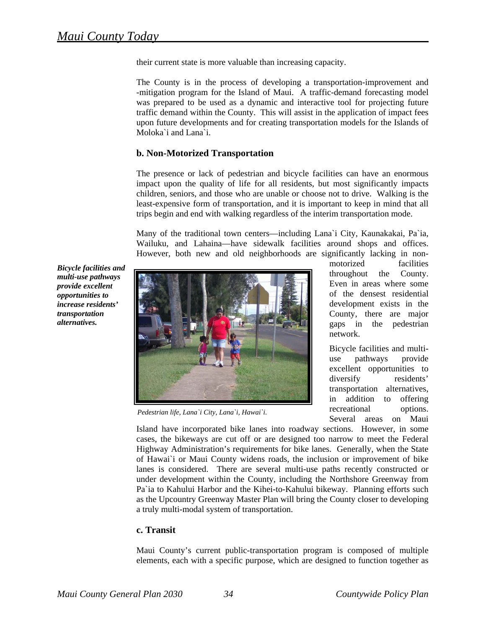their current state is more valuable than increasing capacity.

The County is in the process of developing a transportation-improvement and -mitigation program for the Island of Maui. A traffic-demand forecasting model was prepared to be used as a dynamic and interactive tool for projecting future traffic demand within the County. This will assist in the application of impact fees upon future developments and for creating transportation models for the Islands of Moloka`i and Lana`i.

# **b. Non-Motorized Transportation**

The presence or lack of pedestrian and bicycle facilities can have an enormous impact upon the quality of life for all residents, but most significantly impacts children, seniors, and those who are unable or choose not to drive. Walking is the least-expensive form of transportation, and it is important to keep in mind that all trips begin and end with walking regardless of the interim transportation mode.

Many of the traditional town centers—including Lana`i City, Kaunakakai, Pa`ia, Wailuku, and Lahaina—have sidewalk facilities around shops and offices. However, both new and old neighborhoods are significantly lacking in non-

*Bicycle facilities and multi-use pathways provide excellent opportunities to increase residents' transportation alternatives.* 



*Pedestrian life, Lana`i City, Lana`i, Hawai`i*.

gaps in the pedestrian motorized facilities throughout the County. Even in areas where some of the densest residential development exists in the County, there are major network.

Bicycle facilities and multiuse pathways provide excellent opportunities to diversify residents' transportation alternatives, in addition to offering recreational options. Several areas on Maui

as the Upcountry Greenway Master Plan will bring the County closer to developing a truly multi-modal system of transportation. Island have incorporated bike lanes into roadway sections. However, in some cases, the bikeways are cut off or are designed too narrow to meet the Federal Highway Administration's requirements for bike lanes. Generally, when the State of Hawai`i or Maui County widens roads, the inclusion or improvement of bike lanes is considered. There are several multi-use paths recently constructed or under development within the County, including the Northshore Greenway from Pa`ia to Kahului Harbor and the Kihei-to-Kahului bikeway. Planning efforts such

# **. Transit c**

Maui County's current public-transportation program is composed of multiple elements, each with a specific purpose, which are designed to function together as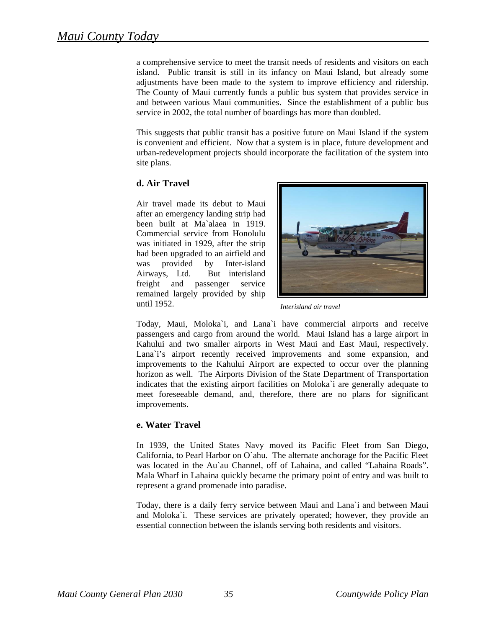a comprehensive service to meet the transit needs of residents and visitors on each island. Public transit is still in its infancy on Maui Island, but already some adjustments have been made to the system to improve efficiency and ridership. The County of Maui currently funds a public bus system that provides service in and between various Maui communities. Since the establishment of a public bus service in 2002, the total number of boardings has more than doubled.

urban-redevelopment projects should incorporate the facilitation of the system into site plans. This suggests that public transit has a positive future on Maui Island if the system is convenient and efficient. Now that a system is in place, future development and

# **. Air Travel d**

remained largely provided by ship until 1952. Air travel made its debut to Maui after an emergency landing strip had been built at Ma`alaea in 1919. Commercial service from Honolulu was initiated in 1929, after the strip had been upgraded to an airfield and was provided by Inter-island Airways, Ltd. But interisland freight and passenger service



*Interisland air travel*

meet foreseeable demand, and, therefore, there are no plans for significant improvements. Today, Maui, Moloka`i, and Lana`i have commercial airports and receive passengers and cargo from around the world. Maui Island has a large airport in Kahului and two smaller airports in West Maui and East Maui, respectively. Lana`i's airport recently received improvements and some expansion, and improvements to the Kahului Airport are expected to occur over the planning horizon as well. The Airports Division of the State Department of Transportation indicates that the existing airport facilities on Moloka`i are generally adequate to

#### **. Water Travel e**

Mala Wharf in Lahaina quickly became the primary point of entry and was built to represent a grand promenade into paradise. In 1939, the United States Navy moved its Pacific Fleet from San Diego, California, to Pearl Harbor on O`ahu. The alternate anchorage for the Pacific Fleet was located in the Au`au Channel, off of Lahaina, and called "Lahaina Roads".

and Moloka'i. These services are privately operated; however, they provide an ssential connection between the islands serving both residents and visitors. e Today, there is a daily ferry service between Maui and Lana`i and between Maui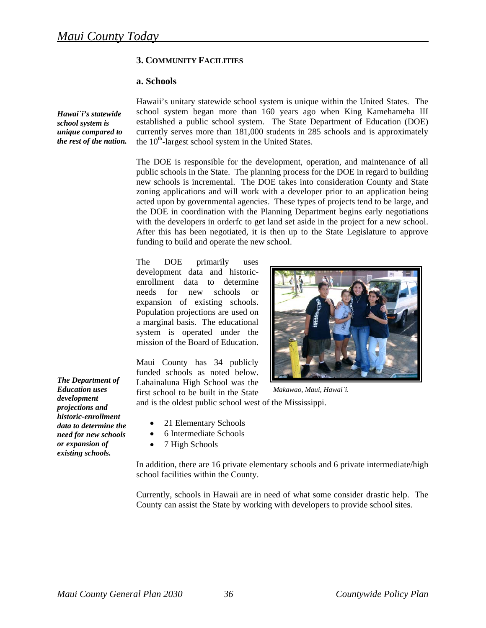# **3. COMMUNITY FACILITIES**

#### **a. Schools**

*Hawai`i's statewide school system is unique compared to the rest of the nation.*  Hawaii's unitary statewide school system is unique within the United States. The school system began more than 160 years ago when King Kamehameha III established a public school system. The State Department of Education (DOE) currently serves more than 181,000 students in 285 schools and is approximately the  $10<sup>th</sup>$ -largest school system in the United States.

The DOE is responsible for the development, operation, and maintenance of all public schools in the State. The planning process for the DOE in regard to building new schools is incremental. The DOE takes into consideration County and State zoning applications and will work with a developer prior to an application being acted upon by governmental agencies. These types of projects tend to be large, and the DOE in coordination with the Planning Department begins early negotiations with the developers in orderfc to get land set aside in the project for a new school. After this has been negotiated, it is then up to the State Legislature to approve funding to build and operate the new school.

The DOE primarily uses development data and historicenrollment data to determine needs for new schools or expansion of existing schools. Population projections are used on a marginal basis. The educational system is operated under the mission of the Board of Education.

Maui County has 34 publicly funded schools as noted below. Lahainaluna High School was the first school to be built in the State



*Makawao, Maui, Hawai`i.* 

and is the oldest public school west of the Mississippi.

- 21 Elementary Schools
- 6 Intermediate Schools
- 7 High Schools

In addition, there are 16 private elementary schools and 6 private intermediate/high school facilities within the County.

Currently, schools in Hawaii are in need of what some consider drastic help. The County can assist the State by working with developers to provide school sites.

*The Department of Education uses development projections and historic-enrollment data to determine the need for new schools or expansion of existing schools.*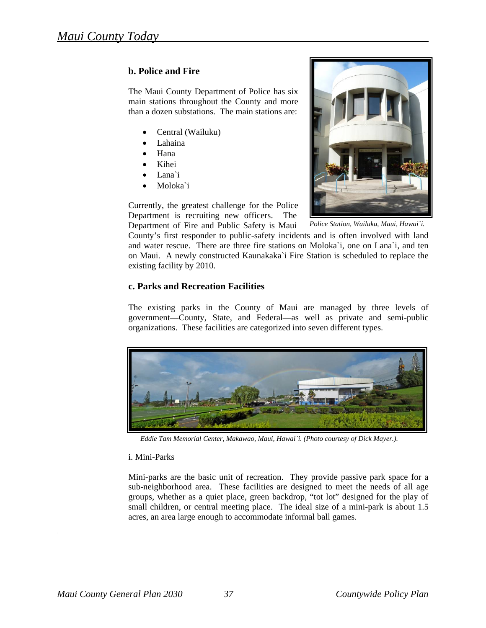# **b . Police and Fire**

T he Maui County Department of Police has six m ain stations throughout the County and more th an a dozen substations. The main stations are:

- Central (Wailuku)
- Lahaina
- Hana
- Kihei
- Lana`i
- Moloka`i

C urrently, the greatest challenge for the Police D epartment is recruiting new officers. The



*Police Station, Wailuku, Maui, Hawai`i.* 

D epartment of Fire and Public Safety is Maui County's first responder to public-safety incidents and is often involved with land an d water rescue. There are three fire stations on Moloka`i, one on Lana`i, and ten on Maui. A newly constructed Kaunakaka`i Fire Station is scheduled to replace the ex isting facility by 2010.

# **c. Parks and Recreation Facilities**

T he existing parks in the County of Maui are managed by three levels of go vernment—County, State, and Federal—as well as private and semi-public or ganizations. These facilities are categorized into seven different types.



*Eddie Tam Memorial Center, Makawao, Maui, Hawai`i. (Photo courtesy of Dick Mayer.).*

# i. Mini-Parks

M ini-parks are the basic unit of recreation. They provide passive park space for a su b-neighborhood area. These facilities are designed to meet the needs of all age gr oups, whether as a quiet place, green backdrop, "tot lot" designed for the play of sm all children, or central meeting place. The ideal size of a mini-park is about 1.5 ac res, an area large enough to accommodate informal ball games.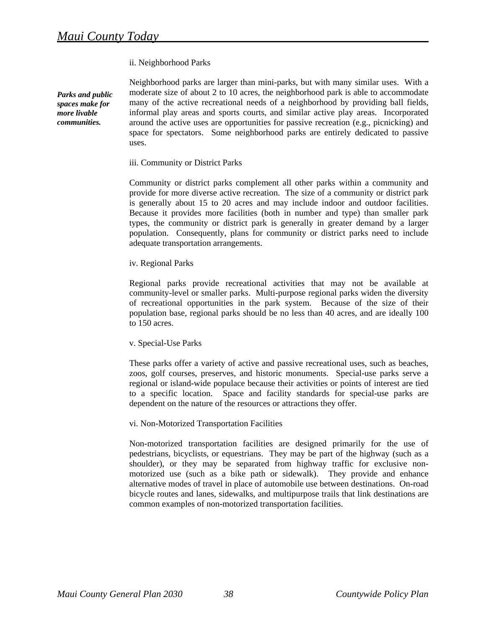#### ii. Neighborhood Parks

*Parks and public spaces make for more livable communities.* 

Neighborhood parks are larger than mini-parks, but with many similar uses. With a moderate size of about 2 to 10 acres, the neighborhood park is able to accommodate many of the active recreational needs of a neighborhood by providing ball fields, informal play areas and sports courts, and similar active play areas. Incorporated around the active uses are opportunities for passive recreation (e.g., picnicking) and space for spectators. Some neighborhood parks are entirely dedicated to passive uses.

#### iii. Community or District Parks

Community or district parks complement all other parks within a community and provide for more diverse active recreation. The size of a community or district park is generally about 15 to 20 acres and may include indoor and outdoor facilities. Because it provides more facilities (both in number and type) than smaller park types, the community or district park is generally in greater demand by a larger population. Consequently, plans for community or district parks need to include adequate transportation arrangements.

#### iv. Regional Parks

Regional parks provide recreational activities that may not be available at community-level or smaller parks. Multi-purpose regional parks widen the diversity of recreational opportunities in the park system. Because of the size of their population base, regional parks should be no less than 40 acres, and are ideally 100 to 150 acres.

#### v. Special-Use Parks

These parks offer a variety of active and passive recreational uses, such as beaches, zoos, golf courses, preserves, and historic monuments. Special-use parks serve a regional or island-wide populace because their activities or points of interest are tied to a specific location. Space and facility standards for special-use parks are dependent on the nature of the resources or attractions they offer.

#### vi. Non-Motorized Transportation Facilities

Non-motorized transportation facilities are designed primarily for the use of pedestrians, bicyclists, or equestrians. They may be part of the highway (such as a shoulder), or they may be separated from highway traffic for exclusive nonmotorized use (such as a bike path or sidewalk). They provide and enhance alternative modes of travel in place of automobile use between destinations. On-road bicycle routes and lanes, sidewalks, and multipurpose trails that link destinations are common examples of non-motorized transportation facilities.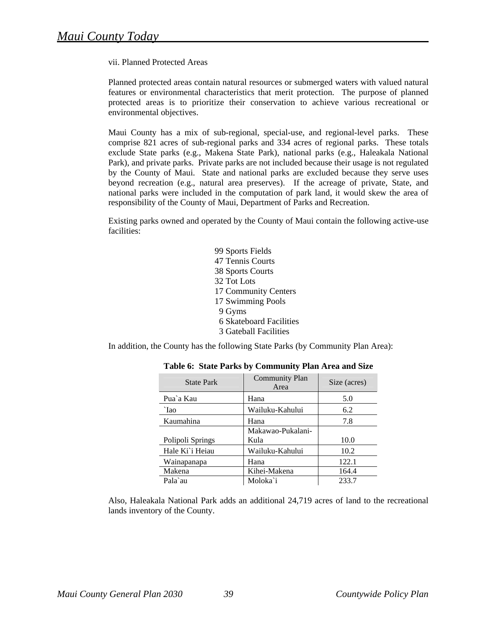#### vii. Planned Protected Areas

Planned protected areas contain natural resources or submerged waters with valued natural features or environmental characteristics that merit protection. The purpose of planned protected areas is to prioritize their conservation to achieve various recreational or environmental objectives.

Maui County has a mix of sub-regional, special-use, and regional-level parks. These comprise 821 acres of sub-regional parks and 334 acres of regional parks. These totals exclude State parks (e.g., Makena State Park), national parks (e.g., Haleakala National Park), and private parks. Private parks are not included because their usage is not regulated by the County of Maui. State and national parks are excluded because they serve uses beyond recreation (e.g., natural area preserves). If the acreage of private, State, and national parks were included in the computation of park land, it would skew the area of responsibility of the County of Maui, Department of Parks and Recreation.

Existing parks owned and operated by the County of Maui contain the following active-use facilities:

> 99 Sports Fields 47 Tennis Courts 38 Sports Courts 32 Tot Lots 17 Community Centers 17 Swimming Pools 9 Gyms 6 Skateboard Facilities 3 Gateball Facilities

In addition, the County has the following State Parks (by Community Plan Area):

| <b>State Park</b> | <b>Community Plan</b><br>Area | Size (acres) |
|-------------------|-------------------------------|--------------|
| Pua'a Kau         | Hana                          | 5.0          |
| `Iao              | Wailuku-Kahului               | 6.2          |
| Kaumahina         | Hana                          | 7.8          |
| Polipoli Springs  | Makawao-Pukalani-<br>Kula     | 10.0         |
| Hale Ki'i Heiau   | Wailuku-Kahului               | 10.2         |
| Wainapanapa       | Hana                          | 122.1        |
| Makena            | Kihei-Makena                  | 164.4        |
| Pala`au           | Moloka`i                      | 233.7        |

# **Table 6: State Parks by Community Plan Area and Size**

Also, Haleakala National Park adds an additional 24,719 acres of land to the recreational lands inventory of the County.